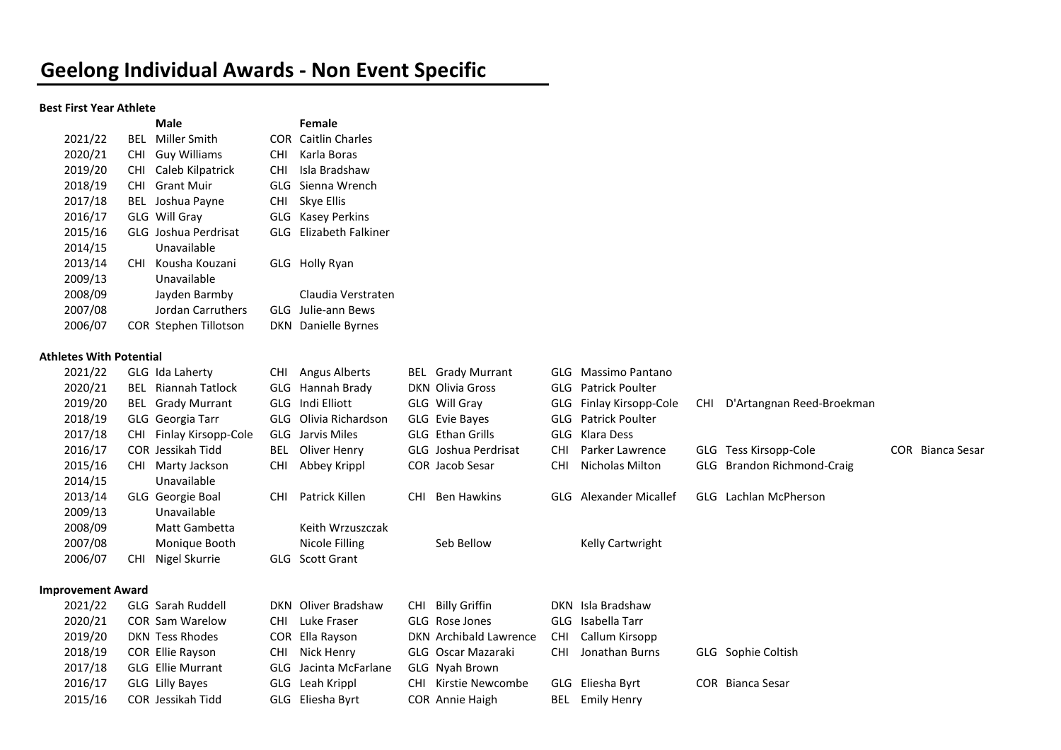## Geelong Individual Awards - Non Event Specific

### Best First Year Athlete

|         |            | Male                  |            | Female                 |
|---------|------------|-----------------------|------------|------------------------|
| 2021/22 | BFI        | Miller Smith          | COR        | <b>Caitlin Charles</b> |
| 2020/21 | <b>CHI</b> | <b>Guy Williams</b>   | <b>CHI</b> | Karla Boras            |
| 2019/20 | <b>CHI</b> | Caleb Kilpatrick      | CHI.       | Isla Bradshaw          |
| 2018/19 | CHI.       | Grant Muir            |            | GLG Sienna Wrench      |
| 2017/18 |            | BEL Joshua Payne      | <b>CHI</b> | Skye Ellis             |
| 2016/17 |            | GLG Will Gray         |            | GLG Kasey Perkins      |
| 2015/16 |            | GLG Joshua Perdrisat  | GI G       | Elizabeth Falkiner     |
| 2014/15 |            | Unavailable           |            |                        |
| 2013/14 | <b>CHI</b> | Kousha Kouzani        |            | GLG Holly Ryan         |
| 2009/13 |            | Unavailable           |            |                        |
| 2008/09 |            | Jayden Barmby         |            | Claudia Verstraten     |
| 2007/08 |            | Jordan Carruthers     |            | GLG Julie-ann Bews     |
| 2006/07 |            | COR Stephen Tillotson | DKN.       | Danielle Byrnes        |

#### Athletes With Potential

| 2021/22                  | GLG Ida Laherty             | Angus Alberts<br>CHI.        | <b>BEL</b> Grady Murrant  | GLG Massimo Pantano           |                                                  |
|--------------------------|-----------------------------|------------------------------|---------------------------|-------------------------------|--------------------------------------------------|
| 2020/21                  | <b>BEL</b> Riannah Tatlock  | Hannah Brady<br>GLG          | DKN Olivia Gross          | <b>GLG</b> Patrick Poulter    |                                                  |
| 2019/20                  | <b>BEL</b> Grady Murrant    | GLG Indi Elliott             | GLG Will Gray             | GLG Finlay Kirsopp-Cole       | D'Artangnan Reed-Broekman<br>CHI.                |
| 2018/19                  | GLG Georgia Tarr            | GLG<br>Olivia Richardson     | GLG Evie Bayes            | <b>Patrick Poulter</b><br>GLG |                                                  |
| 2017/18                  | Finlay Kirsopp-Cole<br>CHI  | GLG Jarvis Miles             | GLG Ethan Grills          | Klara Dess<br>GLG             |                                                  |
| 2016/17                  | COR Jessikah Tidd           | Oliver Henry<br>BEL          | GLG Joshua Perdrisat      | Parker Lawrence<br><b>CHI</b> | <b>COR</b> Bianca Sesar<br>GLG Tess Kirsopp-Cole |
| 2015/16                  | CHI Marty Jackson           | <b>CHI</b><br>Abbey Krippl   | COR Jacob Sesar           | Nicholas Milton<br><b>CHI</b> | Brandon Richmond-Craig<br>GLG                    |
| 2014/15                  | Unavailable                 |                              |                           |                               |                                                  |
| 2013/14                  | GLG Georgie Boal            | Patrick Killen<br><b>CHI</b> | Ben Hawkins<br><b>CHI</b> | <b>GLG</b> Alexander Micallef | GLG Lachlan McPherson                            |
| 2009/13                  | Unavailable                 |                              |                           |                               |                                                  |
| 2008/09                  | Matt Gambetta               | Keith Wrzuszczak             |                           |                               |                                                  |
| 2007/08                  | Monique Booth               | Nicole Filling               | Seb Bellow                | Kelly Cartwright              |                                                  |
| 2006/07                  | Nigel Skurrie<br><b>CHI</b> | <b>Scott Grant</b><br>GLG    |                           |                               |                                                  |
| <b>Improvement Award</b> |                             |                              |                           |                               |                                                  |
| 2021/22                  | <b>GLG</b> Sarah Ruddell    | DKN Oliver Bradshaw          | CHI Billy Griffin         | DKN Isla Bradshaw             |                                                  |
| 2020/21                  | <b>COR Sam Warelow</b>      | Luke Fraser<br>CHI           | GLG Rose Jones            | Isabella Tarr<br>GLG          |                                                  |
| 2019/20                  | DKN Tess Rhodes             | COR Ella Rayson              | DKN Archibald Lawrence    | Callum Kirsopp<br>CHI.        |                                                  |
| 2018/19                  | COR Ellie Rayson            | Nick Henry<br><b>CHI</b>     | GLG Oscar Mazaraki        | Jonathan Burns<br><b>CHI</b>  | GLG Sophie Coltish                               |
| 2017/18                  | <b>GLG Ellie Murrant</b>    | Jacinta McFarlane<br>GLG     | GLG Nyah Brown            |                               |                                                  |
| 2016/17                  | GLG Lilly Bayes             | GLG Leah Krippl              | CHI Kirstie Newcombe      | Eliesha Byrt<br>GLG           | Bianca Sesar<br><b>COR</b>                       |
| 2015/16                  | COR Jessikah Tidd           | Eliesha Byrt<br>GLG          | COR Annie Haigh           | <b>Emily Henry</b><br>BEL     |                                                  |
|                          |                             |                              |                           |                               |                                                  |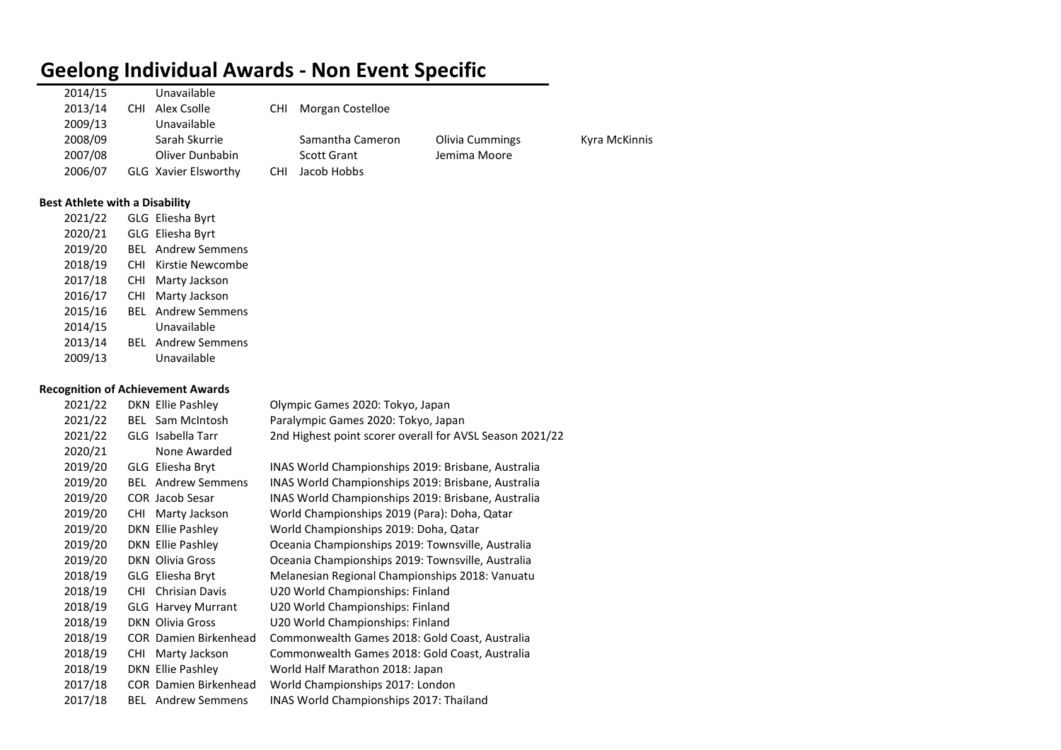### Geelong Individual Awards - Non Event Specific

| 2014/15 |      | Unavailable          |            |                    |                        |
|---------|------|----------------------|------------|--------------------|------------------------|
| 2013/14 | CHI. | Alex Csolle          | <b>CHI</b> | Morgan Costelloe   |                        |
| 2009/13 |      | Unavailable          |            |                    |                        |
| 2008/09 |      | Sarah Skurrie        |            | Samantha Cameron   | <b>Olivia Cummings</b> |
| 2007/08 |      | Oliver Dunbabin      |            | <b>Scott Grant</b> | Jemima Moore           |
| 2006/07 |      | GLG Xavier Elsworthy | <b>CHI</b> | Jacob Hobbs        |                        |
|         |      |                      |            |                    |                        |

Kyra McKinnis

### Best Athlete with a Disability

| 2021/22 |      | GLG Eliesha Byrt          |
|---------|------|---------------------------|
| 2020/21 |      | GLG Eliesha Byrt          |
| 2019/20 | BEL. | <b>Andrew Semmens</b>     |
| 2018/19 | CHI  | Kirstie Newcombe          |
| 2017/18 | CHI  | Marty Jackson             |
| 2016/17 | CHI  | Marty Jackson             |
| 2015/16 | BFI  | <b>Andrew Semmens</b>     |
| 2014/15 |      | Unavailable               |
| 2013/14 |      | <b>BEL</b> Andrew Semmens |
| 2009/13 |      | Unavailable               |

### Recognition of Achievement Awards

| 2021/22 |      | DKN Ellie Pashley            | Olympic Games 2020: Tokyo, Japan                         |
|---------|------|------------------------------|----------------------------------------------------------|
| 2021/22 |      | <b>BEL</b> Sam McIntosh      | Paralympic Games 2020: Tokyo, Japan                      |
| 2021/22 |      | GLG Isabella Tarr            | 2nd Highest point scorer overall for AVSL Season 2021/22 |
| 2020/21 |      | None Awarded                 |                                                          |
| 2019/20 |      | GLG Eliesha Bryt             | INAS World Championships 2019: Brisbane, Australia       |
| 2019/20 |      | <b>BEL</b> Andrew Semmens    | INAS World Championships 2019: Brisbane, Australia       |
| 2019/20 |      | <b>COR</b> Jacob Sesar       | INAS World Championships 2019: Brisbane, Australia       |
| 2019/20 | CHI  | Marty Jackson                | World Championships 2019 (Para): Doha, Qatar             |
| 2019/20 |      | DKN Ellie Pashley            | World Championships 2019: Doha, Qatar                    |
| 2019/20 |      | <b>DKN Ellie Pashley</b>     | Oceania Championships 2019: Townsville, Australia        |
| 2019/20 |      | <b>DKN Olivia Gross</b>      | Oceania Championships 2019: Townsville, Australia        |
| 2018/19 |      | GLG Eliesha Bryt             | Melanesian Regional Championships 2018: Vanuatu          |
| 2018/19 |      | <b>CHI</b> Chrisian Davis    | U20 World Championships: Finland                         |
| 2018/19 |      | <b>GLG Harvey Murrant</b>    | U20 World Championships: Finland                         |
| 2018/19 |      | <b>DKN</b> Olivia Gross      | U20 World Championships: Finland                         |
| 2018/19 |      | <b>COR</b> Damien Birkenhead | Commonwealth Games 2018: Gold Coast, Australia           |
| 2018/19 | CHI. | Marty Jackson                | Commonwealth Games 2018: Gold Coast, Australia           |
| 2018/19 |      | DKN Ellie Pashley            | World Half Marathon 2018: Japan                          |
| 2017/18 |      | <b>COR</b> Damien Birkenhead | World Championships 2017: London                         |
| 2017/18 |      | <b>BEL</b> Andrew Semmens    | INAS World Championships 2017: Thailand                  |